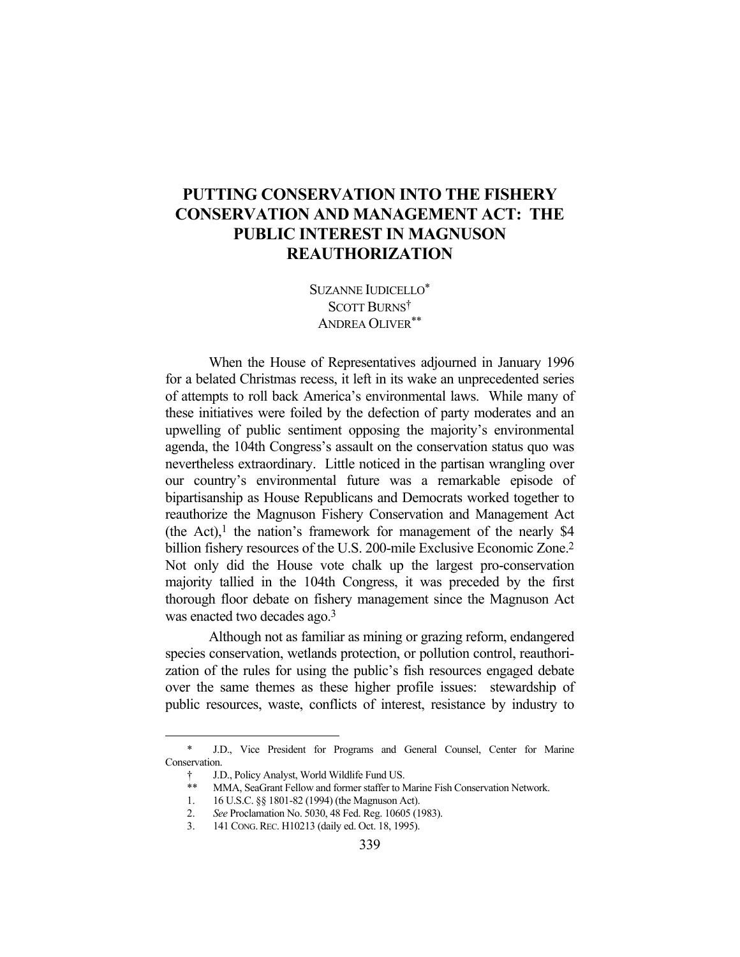## **PUTTING CONSERVATION INTO THE FISHERY CONSERVATION AND MANAGEMENT ACT: THE PUBLIC INTEREST IN MAGNUSON REAUTHORIZATION**

SUZANNE IUDICELLO\* SCOTT BURNS† ANDREA OLIVER<sup>\*\*</sup>

 When the House of Representatives adjourned in January 1996 for a belated Christmas recess, it left in its wake an unprecedented series of attempts to roll back America's environmental laws. While many of these initiatives were foiled by the defection of party moderates and an upwelling of public sentiment opposing the majority's environmental agenda, the 104th Congress's assault on the conservation status quo was nevertheless extraordinary. Little noticed in the partisan wrangling over our country's environmental future was a remarkable episode of bipartisanship as House Republicans and Democrats worked together to reauthorize the Magnuson Fishery Conservation and Management Act (the Act),<sup>1</sup> the nation's framework for management of the nearly \$4 billion fishery resources of the U.S. 200-mile Exclusive Economic Zone.2 Not only did the House vote chalk up the largest pro-conservation majority tallied in the 104th Congress, it was preceded by the first thorough floor debate on fishery management since the Magnuson Act was enacted two decades ago.<sup>3</sup>

 Although not as familiar as mining or grazing reform, endangered species conservation, wetlands protection, or pollution control, reauthorization of the rules for using the public's fish resources engaged debate over the same themes as these higher profile issues: stewardship of public resources, waste, conflicts of interest, resistance by industry to

 <sup>\*</sup> J.D., Vice President for Programs and General Counsel, Center for Marine Conservation.

 <sup>†</sup> J.D., Policy Analyst, World Wildlife Fund US.

<sup>\*\*</sup> MMA, SeaGrant Fellow and former staffer to Marine Fish Conservation Network.

 <sup>1. 16</sup> U.S.C. §§ 1801-82 (1994) (the Magnuson Act).

 <sup>2.</sup> *See* Proclamation No. 5030, 48 Fed. Reg. 10605 (1983).

 <sup>3. 141</sup> CONG.REC. H10213 (daily ed. Oct. 18, 1995).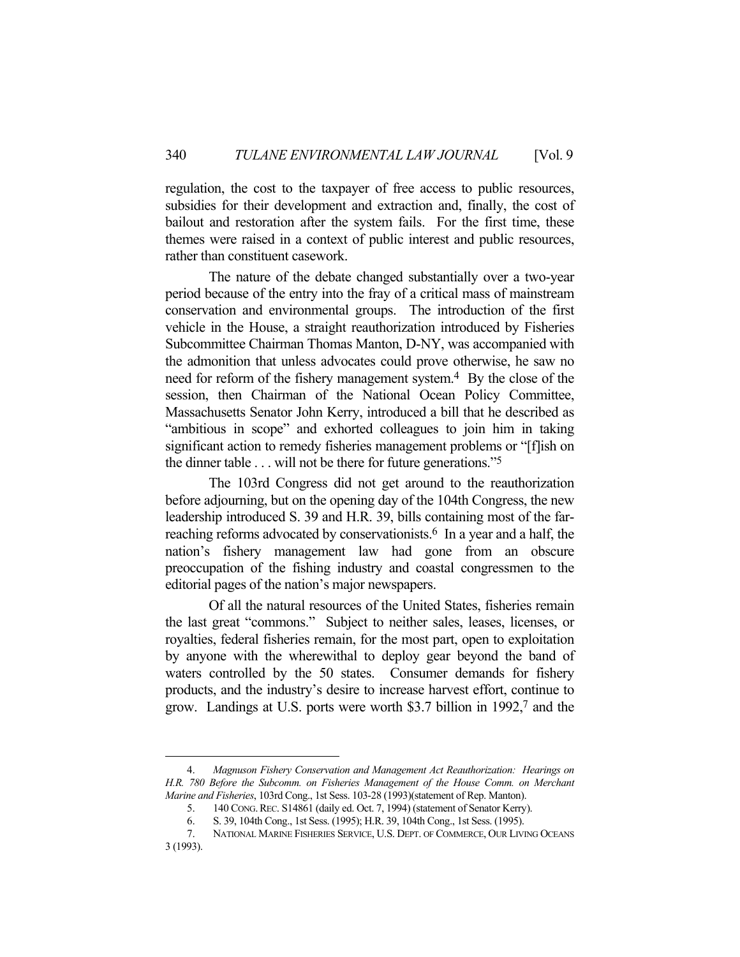regulation, the cost to the taxpayer of free access to public resources, subsidies for their development and extraction and, finally, the cost of bailout and restoration after the system fails. For the first time, these themes were raised in a context of public interest and public resources, rather than constituent casework.

 The nature of the debate changed substantially over a two-year period because of the entry into the fray of a critical mass of mainstream conservation and environmental groups. The introduction of the first vehicle in the House, a straight reauthorization introduced by Fisheries Subcommittee Chairman Thomas Manton, D-NY, was accompanied with the admonition that unless advocates could prove otherwise, he saw no need for reform of the fishery management system.<sup>4</sup> By the close of the session, then Chairman of the National Ocean Policy Committee, Massachusetts Senator John Kerry, introduced a bill that he described as "ambitious in scope" and exhorted colleagues to join him in taking significant action to remedy fisheries management problems or "[f]ish on the dinner table . . . will not be there for future generations."5

 The 103rd Congress did not get around to the reauthorization before adjourning, but on the opening day of the 104th Congress, the new leadership introduced S. 39 and H.R. 39, bills containing most of the farreaching reforms advocated by conservationists.<sup>6</sup> In a year and a half, the nation's fishery management law had gone from an obscure preoccupation of the fishing industry and coastal congressmen to the editorial pages of the nation's major newspapers.

 Of all the natural resources of the United States, fisheries remain the last great "commons." Subject to neither sales, leases, licenses, or royalties, federal fisheries remain, for the most part, open to exploitation by anyone with the wherewithal to deploy gear beyond the band of waters controlled by the 50 states. Consumer demands for fishery products, and the industry's desire to increase harvest effort, continue to grow. Landings at U.S. ports were worth \$3.7 billion in 1992,7 and the

1

 <sup>4.</sup> *Magnuson Fishery Conservation and Management Act Reauthorization: Hearings on H.R. 780 Before the Subcomm. on Fisheries Management of the House Comm. on Merchant Marine and Fisheries*, 103rd Cong., 1st Sess. 103-28 (1993)(statement of Rep. Manton).

 <sup>5. 140</sup> CONG.REC. S14861 (daily ed. Oct. 7, 1994) (statement of Senator Kerry).

 <sup>6.</sup> S. 39, 104th Cong., 1st Sess. (1995); H.R. 39, 104th Cong., 1st Sess. (1995).

 <sup>7.</sup> NATIONAL MARINE FISHERIES SERVICE, U.S. DEPT. OF COMMERCE, OUR LIVING OCEANS 3 (1993).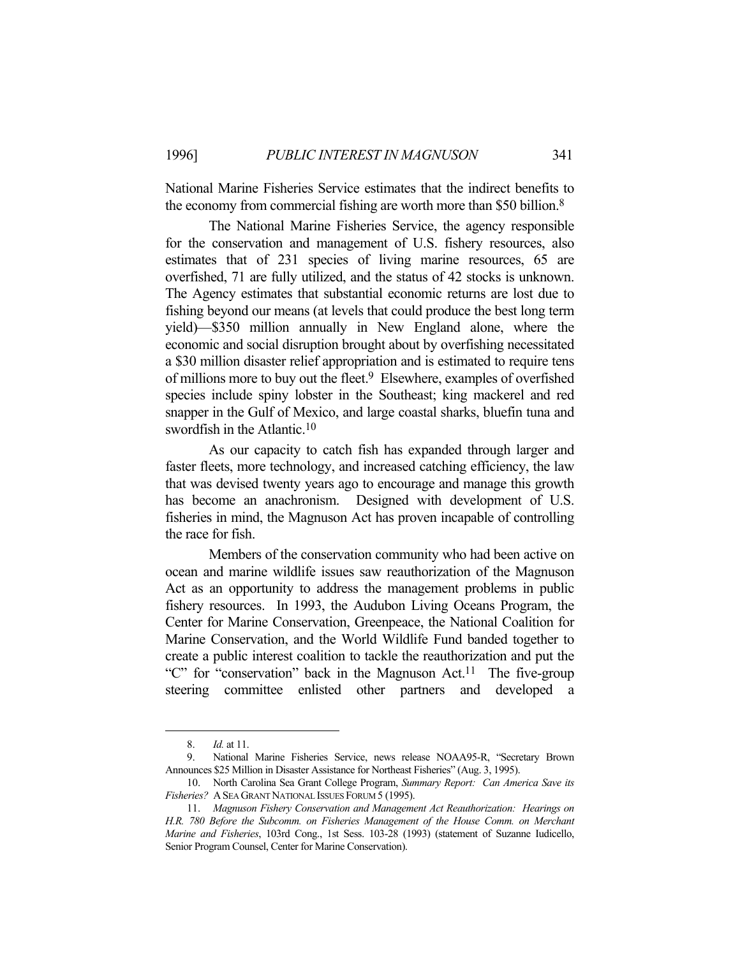National Marine Fisheries Service estimates that the indirect benefits to the economy from commercial fishing are worth more than \$50 billion.8

 The National Marine Fisheries Service, the agency responsible for the conservation and management of U.S. fishery resources, also estimates that of 231 species of living marine resources, 65 are overfished, 71 are fully utilized, and the status of 42 stocks is unknown. The Agency estimates that substantial economic returns are lost due to fishing beyond our means (at levels that could produce the best long term yield)—\$350 million annually in New England alone, where the economic and social disruption brought about by overfishing necessitated a \$30 million disaster relief appropriation and is estimated to require tens of millions more to buy out the fleet.<sup>9</sup> Elsewhere, examples of overfished species include spiny lobster in the Southeast; king mackerel and red snapper in the Gulf of Mexico, and large coastal sharks, bluefin tuna and swordfish in the Atlantic.<sup>10</sup>

 As our capacity to catch fish has expanded through larger and faster fleets, more technology, and increased catching efficiency, the law that was devised twenty years ago to encourage and manage this growth has become an anachronism. Designed with development of U.S. fisheries in mind, the Magnuson Act has proven incapable of controlling the race for fish.

 Members of the conservation community who had been active on ocean and marine wildlife issues saw reauthorization of the Magnuson Act as an opportunity to address the management problems in public fishery resources. In 1993, the Audubon Living Oceans Program, the Center for Marine Conservation, Greenpeace, the National Coalition for Marine Conservation, and the World Wildlife Fund banded together to create a public interest coalition to tackle the reauthorization and put the "C" for "conservation" back in the Magnuson Act.<sup>11</sup> The five-group steering committee enlisted other partners and developed a

 <sup>8.</sup> *Id.* at 11.

 <sup>9.</sup> National Marine Fisheries Service, news release NOAA95-R, "Secretary Brown Announces \$25 Million in Disaster Assistance for Northeast Fisheries" (Aug. 3, 1995).

 <sup>10.</sup> North Carolina Sea Grant College Program, *Summary Report: Can America Save its Fisheries?* ASEA GRANT NATIONAL ISSUES FORUM 5 (1995).

 <sup>11.</sup> *Magnuson Fishery Conservation and Management Act Reauthorization: Hearings on H.R. 780 Before the Subcomm. on Fisheries Management of the House Comm. on Merchant Marine and Fisheries*, 103rd Cong., 1st Sess. 103-28 (1993) (statement of Suzanne Iudicello, Senior Program Counsel, Center for Marine Conservation).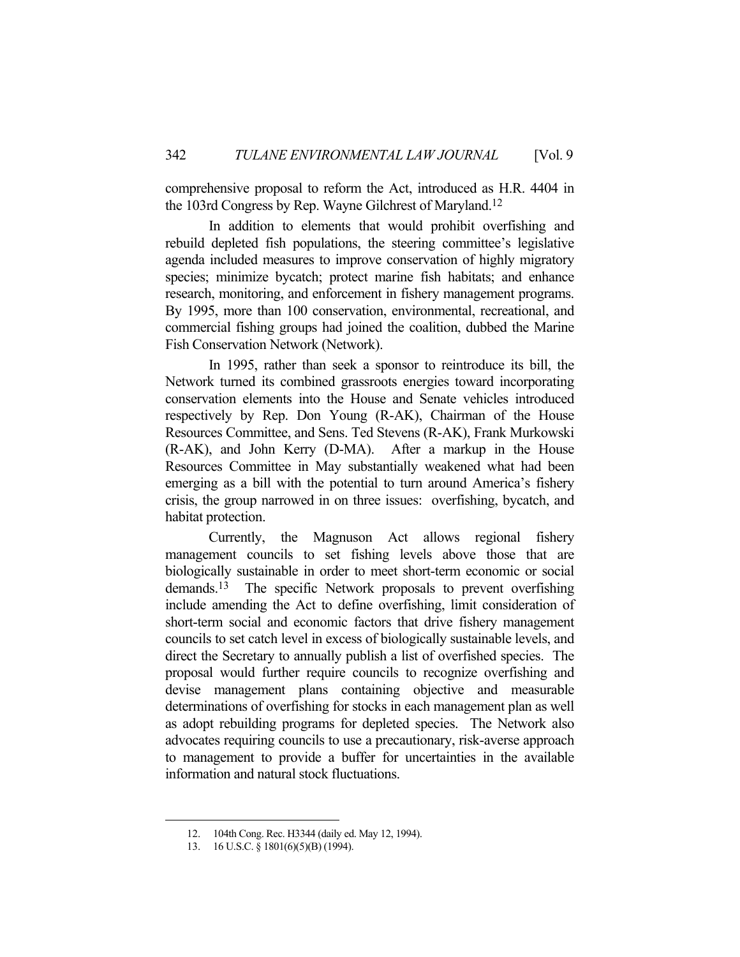comprehensive proposal to reform the Act, introduced as H.R. 4404 in the 103rd Congress by Rep. Wayne Gilchrest of Maryland.12

 In addition to elements that would prohibit overfishing and rebuild depleted fish populations, the steering committee's legislative agenda included measures to improve conservation of highly migratory species; minimize bycatch; protect marine fish habitats; and enhance research, monitoring, and enforcement in fishery management programs. By 1995, more than 100 conservation, environmental, recreational, and commercial fishing groups had joined the coalition, dubbed the Marine Fish Conservation Network (Network).

 In 1995, rather than seek a sponsor to reintroduce its bill, the Network turned its combined grassroots energies toward incorporating conservation elements into the House and Senate vehicles introduced respectively by Rep. Don Young (R-AK), Chairman of the House Resources Committee, and Sens. Ted Stevens (R-AK), Frank Murkowski (R-AK), and John Kerry (D-MA). After a markup in the House Resources Committee in May substantially weakened what had been emerging as a bill with the potential to turn around America's fishery crisis, the group narrowed in on three issues: overfishing, bycatch, and habitat protection.

 Currently, the Magnuson Act allows regional fishery management councils to set fishing levels above those that are biologically sustainable in order to meet short-term economic or social demands.13 The specific Network proposals to prevent overfishing include amending the Act to define overfishing, limit consideration of short-term social and economic factors that drive fishery management councils to set catch level in excess of biologically sustainable levels, and direct the Secretary to annually publish a list of overfished species. The proposal would further require councils to recognize overfishing and devise management plans containing objective and measurable determinations of overfishing for stocks in each management plan as well as adopt rebuilding programs for depleted species. The Network also advocates requiring councils to use a precautionary, risk-averse approach to management to provide a buffer for uncertainties in the available information and natural stock fluctuations.

1

 <sup>12. 104</sup>th Cong. Rec. H3344 (daily ed. May 12, 1994).

 <sup>13. 16</sup> U.S.C. § 1801(6)(5)(B) (1994).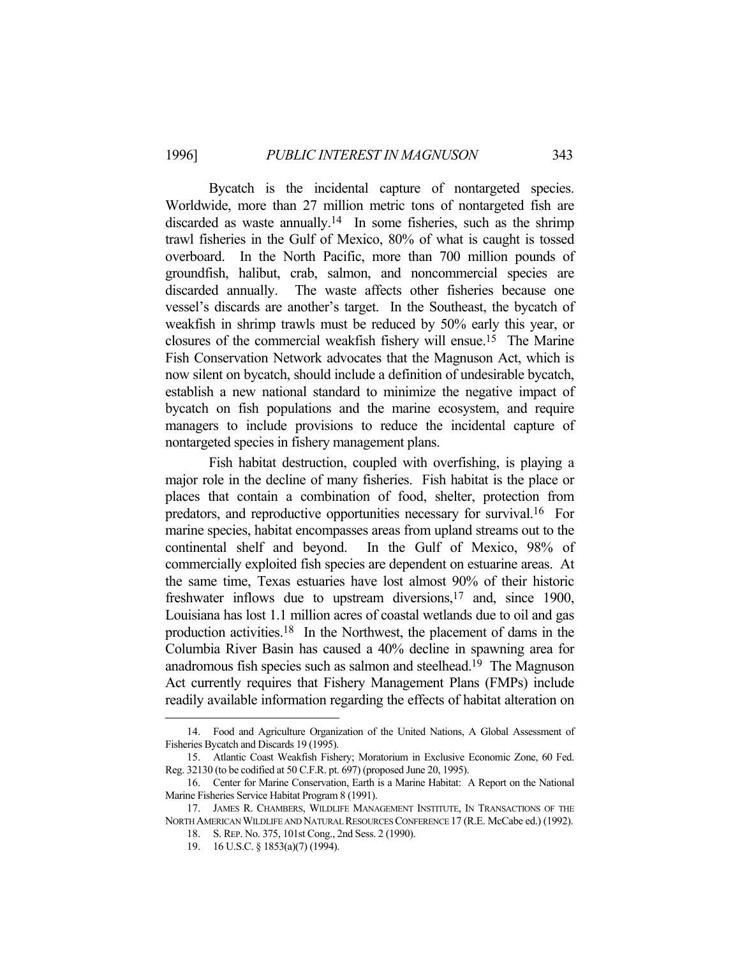Bycatch is the incidental capture of nontargeted species. Worldwide, more than 27 million metric tons of nontargeted fish are discarded as waste annually.<sup>14</sup> In some fisheries, such as the shrimp trawl fisheries in the Gulf of Mexico, 80% of what is caught is tossed overboard. In the North Pacific, more than 700 million pounds of groundfish, halibut, crab, salmon, and noncommercial species are discarded annually. The waste affects other fisheries because one vessel's discards are another's target. In the Southeast, the bycatch of weakfish in shrimp trawls must be reduced by 50% early this year, or closures of the commercial weakfish fishery will ensue.15 The Marine Fish Conservation Network advocates that the Magnuson Act, which is now silent on bycatch, should include a definition of undesirable bycatch, establish a new national standard to minimize the negative impact of bycatch on fish populations and the marine ecosystem, and require managers to include provisions to reduce the incidental capture of nontargeted species in fishery management plans.

 Fish habitat destruction, coupled with overfishing, is playing a major role in the decline of many fisheries. Fish habitat is the place or places that contain a combination of food, shelter, protection from predators, and reproductive opportunities necessary for survival.16 For marine species, habitat encompasses areas from upland streams out to the continental shelf and beyond. In the Gulf of Mexico, 98% of commercially exploited fish species are dependent on estuarine areas. At the same time, Texas estuaries have lost almost 90% of their historic freshwater inflows due to upstream diversions,<sup>17</sup> and, since 1900, Louisiana has lost 1.1 million acres of coastal wetlands due to oil and gas production activities.18 In the Northwest, the placement of dams in the Columbia River Basin has caused a 40% decline in spawning area for anadromous fish species such as salmon and steelhead.19 The Magnuson Act currently requires that Fishery Management Plans (FMPs) include readily available information regarding the effects of habitat alteration on

 <sup>14.</sup> Food and Agriculture Organization of the United Nations, A Global Assessment of Fisheries Bycatch and Discards 19 (1995).

 <sup>15.</sup> Atlantic Coast Weakfish Fishery; Moratorium in Exclusive Economic Zone, 60 Fed. Reg. 32130 (to be codified at 50 C.F.R. pt. 697) (proposed June 20, 1995).

 <sup>16.</sup> Center for Marine Conservation, Earth is a Marine Habitat: A Report on the National Marine Fisheries Service Habitat Program 8 (1991).

 <sup>17.</sup> JAMES R. CHAMBERS, WILDLIFE MANAGEMENT INSTITUTE, IN TRANSACTIONS OF THE NORTH AMERICAN WILDLIFE AND NATURAL RESOURCES CONFERENCE 17 (R.E. McCabe ed.) (1992).

 <sup>18.</sup> S. REP. No. 375, 101st Cong., 2nd Sess. 2 (1990).

 <sup>19. 16</sup> U.S.C. § 1853(a)(7) (1994).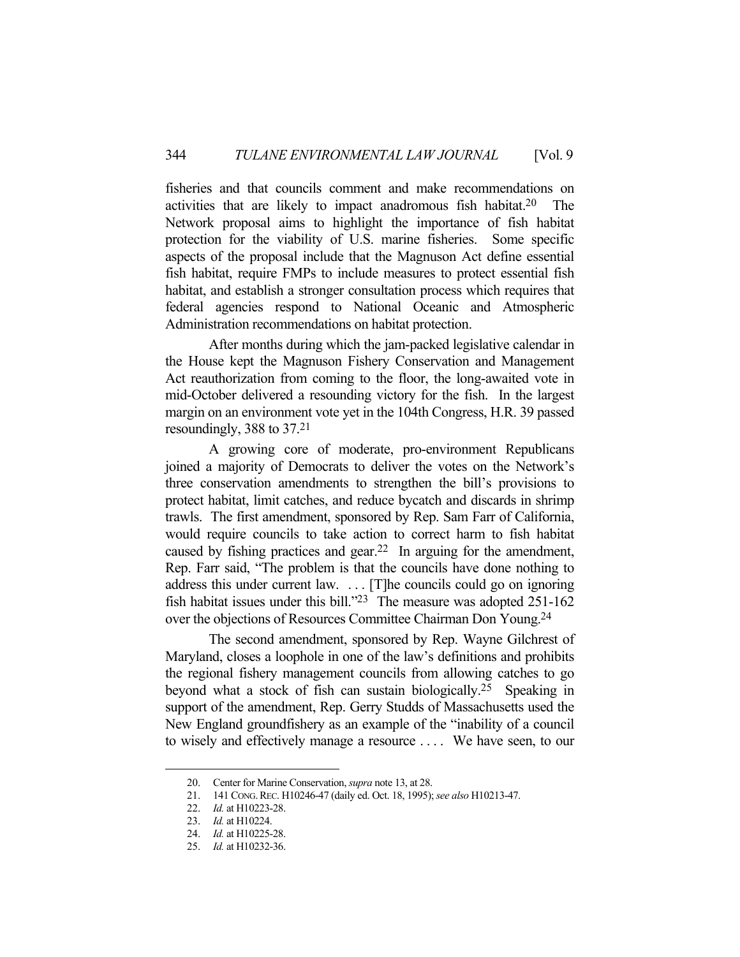fisheries and that councils comment and make recommendations on activities that are likely to impact anadromous fish habitat.20 The Network proposal aims to highlight the importance of fish habitat protection for the viability of U.S. marine fisheries. Some specific aspects of the proposal include that the Magnuson Act define essential fish habitat, require FMPs to include measures to protect essential fish habitat, and establish a stronger consultation process which requires that federal agencies respond to National Oceanic and Atmospheric Administration recommendations on habitat protection.

 After months during which the jam-packed legislative calendar in the House kept the Magnuson Fishery Conservation and Management Act reauthorization from coming to the floor, the long-awaited vote in mid-October delivered a resounding victory for the fish. In the largest margin on an environment vote yet in the 104th Congress, H.R. 39 passed resoundingly, 388 to 37.21

 A growing core of moderate, pro-environment Republicans joined a majority of Democrats to deliver the votes on the Network's three conservation amendments to strengthen the bill's provisions to protect habitat, limit catches, and reduce bycatch and discards in shrimp trawls. The first amendment, sponsored by Rep. Sam Farr of California, would require councils to take action to correct harm to fish habitat caused by fishing practices and gear.22 In arguing for the amendment, Rep. Farr said, "The problem is that the councils have done nothing to address this under current law. . . . [T]he councils could go on ignoring fish habitat issues under this bill."23 The measure was adopted 251-162 over the objections of Resources Committee Chairman Don Young.24

 The second amendment, sponsored by Rep. Wayne Gilchrest of Maryland, closes a loophole in one of the law's definitions and prohibits the regional fishery management councils from allowing catches to go beyond what a stock of fish can sustain biologically.25 Speaking in support of the amendment, Rep. Gerry Studds of Massachusetts used the New England groundfishery as an example of the "inability of a council to wisely and effectively manage a resource . . . . We have seen, to our

1

 <sup>20.</sup> Center for Marine Conservation, *supra* note 13, at 28.

 <sup>21. 141</sup> CONG.REC. H10246-47 (daily ed. Oct. 18, 1995); *see also* H10213-47.

 <sup>22.</sup> *Id.* at H10223-28.

 <sup>23.</sup> *Id.* at H10224.

 <sup>24.</sup> *Id.* at H10225-28.

 <sup>25.</sup> *Id.* at H10232-36.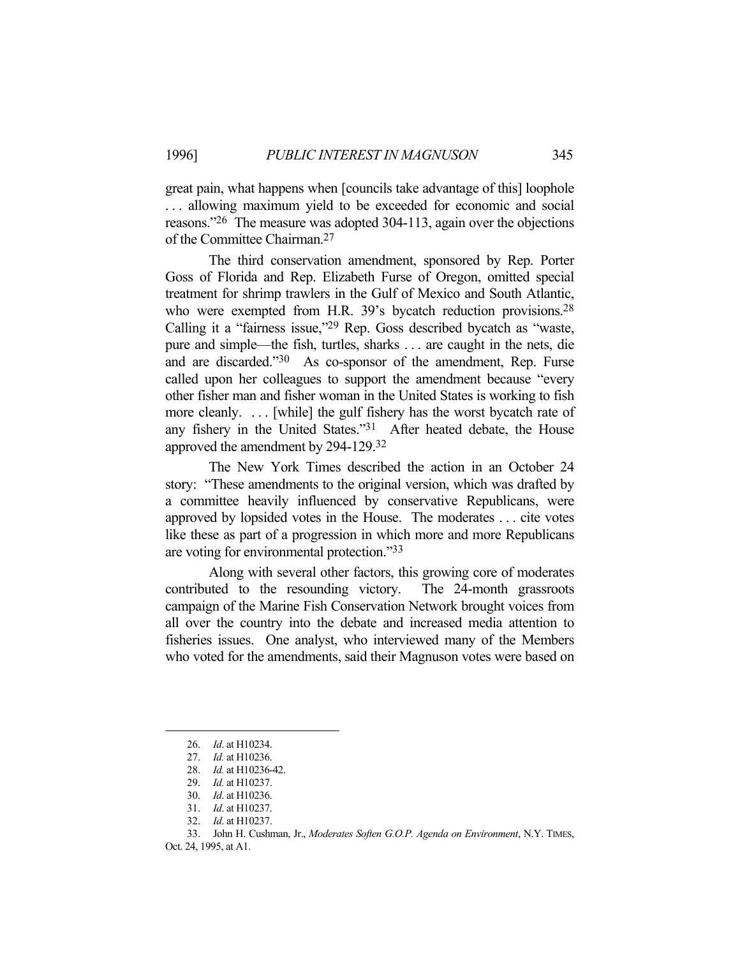great pain, what happens when [councils take advantage of this] loophole ... allowing maximum yield to be exceeded for economic and social reasons."26 The measure was adopted 304-113, again over the objections of the Committee Chairman.27

 The third conservation amendment, sponsored by Rep. Porter Goss of Florida and Rep. Elizabeth Furse of Oregon, omitted special treatment for shrimp trawlers in the Gulf of Mexico and South Atlantic, who were exempted from H.R. 39's bycatch reduction provisions.<sup>28</sup> Calling it a "fairness issue,"29 Rep. Goss described bycatch as "waste, pure and simple—the fish, turtles, sharks . . . are caught in the nets, die and are discarded."30 As co-sponsor of the amendment, Rep. Furse called upon her colleagues to support the amendment because "every other fisher man and fisher woman in the United States is working to fish more cleanly. . . . [while] the gulf fishery has the worst bycatch rate of any fishery in the United States."31 After heated debate, the House approved the amendment by 294-129.32

 The New York Times described the action in an October 24 story: "These amendments to the original version, which was drafted by a committee heavily influenced by conservative Republicans, were approved by lopsided votes in the House. The moderates . . . cite votes like these as part of a progression in which more and more Republicans are voting for environmental protection."33

 Along with several other factors, this growing core of moderates contributed to the resounding victory. The 24-month grassroots campaign of the Marine Fish Conservation Network brought voices from all over the country into the debate and increased media attention to fisheries issues. One analyst, who interviewed many of the Members who voted for the amendments, said their Magnuson votes were based on

 <sup>26.</sup> *Id*. at H10234.

 <sup>27.</sup> *Id.* at H10236.

 <sup>28.</sup> *Id.* at H10236-42.

 <sup>29.</sup> *Id.* at H10237.

 <sup>30.</sup> *Id*. at H10236.

 <sup>31.</sup> *Id*. at H10237.

 <sup>32.</sup> *Id*. at H10237.

 <sup>33.</sup> John H. Cushman, Jr., *Moderates Soften G.O.P. Agenda on Environment*, N.Y. TIMES,

Oct. 24, 1995, at A1.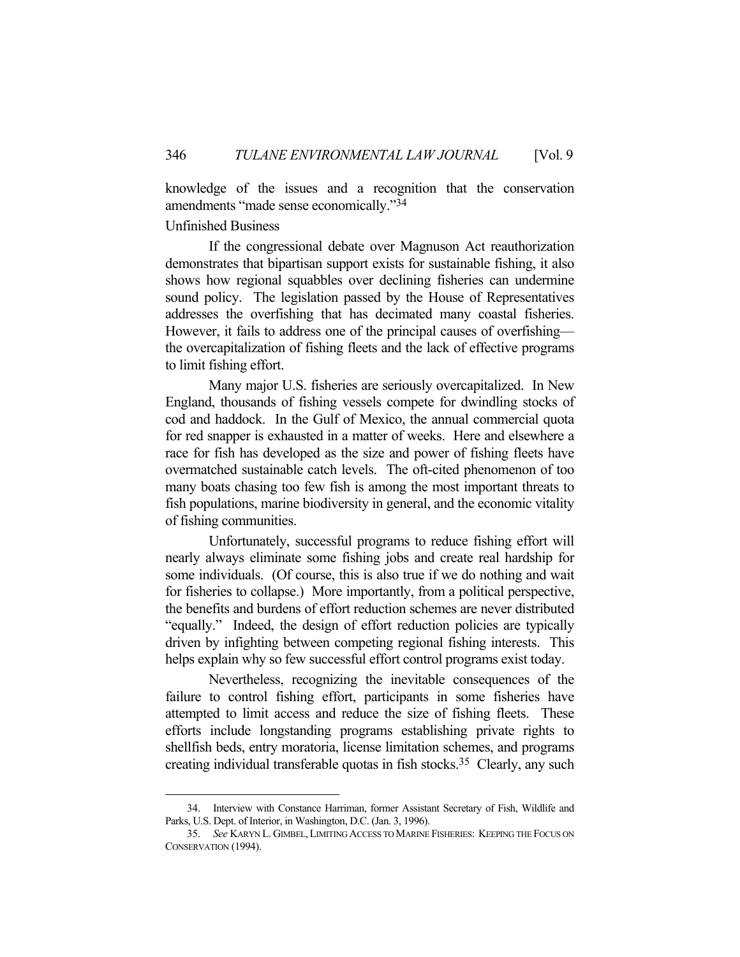knowledge of the issues and a recognition that the conservation amendments "made sense economically."34

Unfinished Business

<u>.</u>

 If the congressional debate over Magnuson Act reauthorization demonstrates that bipartisan support exists for sustainable fishing, it also shows how regional squabbles over declining fisheries can undermine sound policy. The legislation passed by the House of Representatives addresses the overfishing that has decimated many coastal fisheries. However, it fails to address one of the principal causes of overfishing the overcapitalization of fishing fleets and the lack of effective programs to limit fishing effort.

 Many major U.S. fisheries are seriously overcapitalized. In New England, thousands of fishing vessels compete for dwindling stocks of cod and haddock. In the Gulf of Mexico, the annual commercial quota for red snapper is exhausted in a matter of weeks. Here and elsewhere a race for fish has developed as the size and power of fishing fleets have overmatched sustainable catch levels. The oft-cited phenomenon of too many boats chasing too few fish is among the most important threats to fish populations, marine biodiversity in general, and the economic vitality of fishing communities.

 Unfortunately, successful programs to reduce fishing effort will nearly always eliminate some fishing jobs and create real hardship for some individuals. (Of course, this is also true if we do nothing and wait for fisheries to collapse.) More importantly, from a political perspective, the benefits and burdens of effort reduction schemes are never distributed "equally." Indeed, the design of effort reduction policies are typically driven by infighting between competing regional fishing interests. This helps explain why so few successful effort control programs exist today.

 Nevertheless, recognizing the inevitable consequences of the failure to control fishing effort, participants in some fisheries have attempted to limit access and reduce the size of fishing fleets. These efforts include longstanding programs establishing private rights to shellfish beds, entry moratoria, license limitation schemes, and programs creating individual transferable quotas in fish stocks.35 Clearly, any such

 <sup>34.</sup> Interview with Constance Harriman, former Assistant Secretary of Fish, Wildlife and Parks, U.S. Dept. of Interior, in Washington, D.C. (Jan. 3, 1996).

 <sup>35.</sup> *See* KARYN L. GIMBEL,LIMITING ACCESS TO MARINE FISHERIES: KEEPING THE FOCUS ON CONSERVATION (1994).